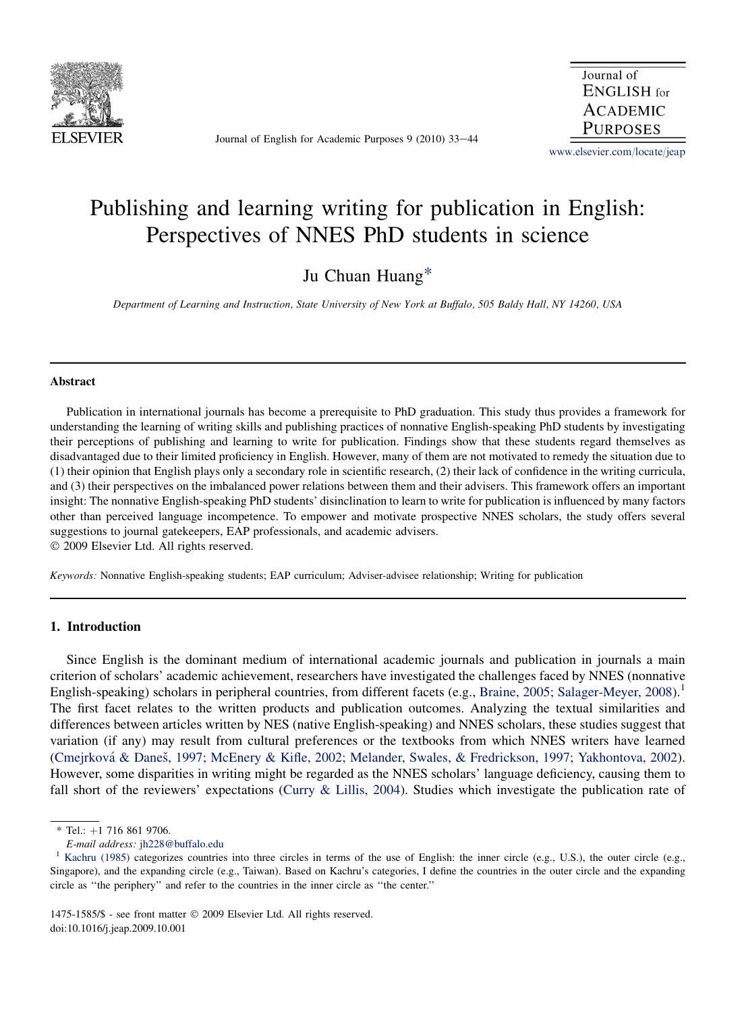

Journal of English for Academic Purposes 9 (2010) 33-44

Journal of **ENGLISH** for **ACADEMIC PURPOSES** 

[www.elsevier.com/locate/jeap](http://www.elsevier.com/locate/jeap)

# Publishing and learning writing for publication in English: Perspectives of NNES PhD students in science

Ju Chuan Huang\*

Department of Learning and Instruction, State University of New York at Buffalo, 505 Baldy Hall, NY 14260, USA

#### Abstract

Publication in international journals has become a prerequisite to PhD graduation. This study thus provides a framework for understanding the learning of writing skills and publishing practices of nonnative English-speaking PhD students by investigating their perceptions of publishing and learning to write for publication. Findings show that these students regard themselves as disadvantaged due to their limited proficiency in English. However, many of them are not motivated to remedy the situation due to (1) their opinion that English plays only a secondary role in scientific research, (2) their lack of confidence in the writing curricula, and (3) their perspectives on the imbalanced power relations between them and their advisers. This framework offers an important insight: The nonnative English-speaking PhD students' disinclination to learn to write for publication is influenced by many factors other than perceived language incompetence. To empower and motivate prospective NNES scholars, the study offers several suggestions to journal gatekeepers, EAP professionals, and academic advisers.

© 2009 Elsevier Ltd. All rights reserved.

Keywords: Nonnative English-speaking students; EAP curriculum; Adviser-advisee relationship; Writing for publication

# 1. Introduction

Since English is the dominant medium of international academic journals and publication in journals a main criterion of scholars' academic achievement, researchers have investigated the challenges faced by NNES (nonnative English-speaking) scholars in peripheral countries, from different facets (e.g., Braine, 2005; Salager-Meyer,  $2008$ ).<sup>1</sup> The first facet relates to the written products and publication outcomes. Analyzing the textual similarities and differences between articles written by NES (native English-speaking) and NNES scholars, these studies suggest that variation (if any) may result from cultural preferences or the textbooks from which NNES writers have learned [\(Cmejrkov](#page-10-0)á & Daneš, 1997; McEnery & Kifle, 2002; Melander, Swales, & Fredrickson, 1997; Yakhontova, 2002). However, some disparities in writing might be regarded as the NNES scholars' language deficiency, causing them to fall short of the reviewers' expectations [\(Curry & Lillis, 2004\)](#page-10-0). Studies which investigate the publication rate of

 $*$  Tel.:  $+1$  716 861 9706.

E-mail address: [jh228@buffalo.edu](mailto:jh228@buffalo.edu)<br><sup>1</sup> [Kachru \(1985\)](#page-10-0) categorizes countries into three circles in terms of the use of English: the inner circle (e.g., U.S.), the outer circle (e.g., Singapore), and the expanding circle (e.g., Taiwan). Based on Kachru's categories, I define the countries in the outer circle and the expanding circle as ''the periphery'' and refer to the countries in the inner circle as ''the center.''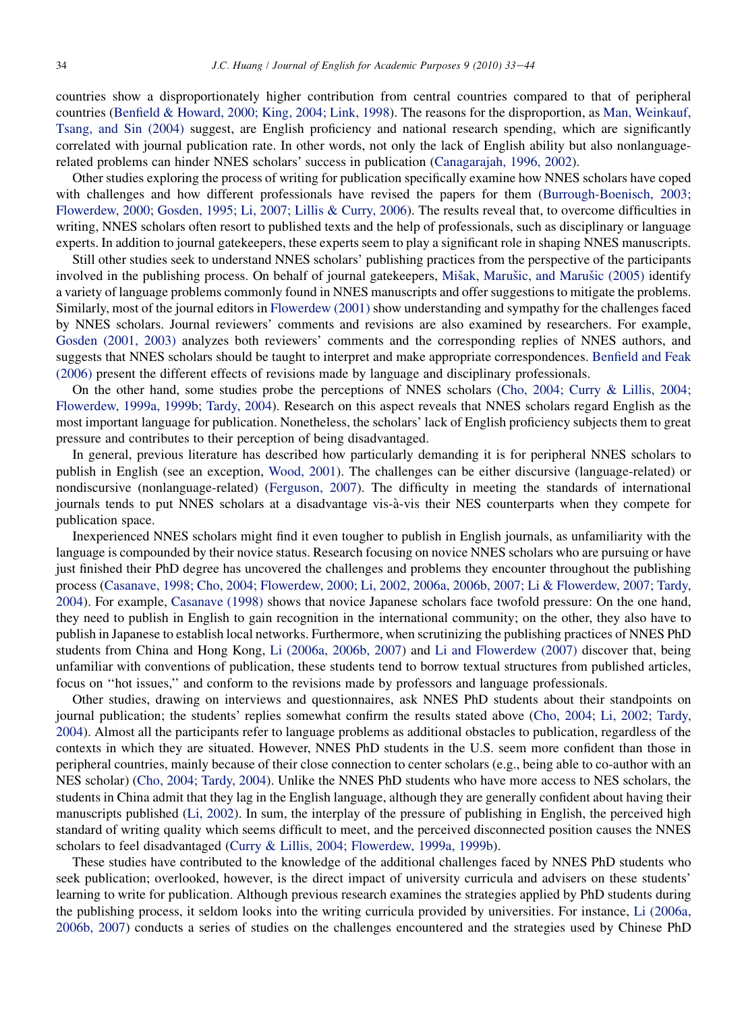countries show a disproportionately higher contribution from central countries compared to that of peripheral countries ([Benfield & Howard, 2000; King, 2004; Link, 1998](#page-10-0)). The reasons for the disproportion, as [Man, Weinkauf,](#page-11-0) [Tsang, and Sin \(2004\)](#page-11-0) suggest, are English proficiency and national research spending, which are significantly correlated with journal publication rate. In other words, not only the lack of English ability but also nonlanguagerelated problems can hinder NNES scholars' success in publication ([Canagarajah, 1996, 2002\)](#page-10-0).

Other studies exploring the process of writing for publication specifically examine how NNES scholars have coped with challenges and how different professionals have revised the papers for them [\(Burrough-Boenisch, 2003;](#page-10-0) [Flowerdew, 2000; Gosden, 1995; Li, 2007; Lillis & Curry, 2006\)](#page-10-0). The results reveal that, to overcome difficulties in writing, NNES scholars often resort to published texts and the help of professionals, such as disciplinary or language experts. In addition to journal gatekeepers, these experts seem to play a significant role in shaping NNES manuscripts.

Still other studies seek to understand NNES scholars' publishing practices from the perspective of the participants involved in the publishing process. On behalf of journal gatekeepers, Mišak, Marušic, and Marušic (2005) identify a variety of language problems commonly found in NNES manuscripts and offer suggestions to mitigate the problems. Similarly, most of the journal editors in [Flowerdew \(2001\)](#page-10-0) show understanding and sympathy for the challenges faced by NNES scholars. Journal reviewers' comments and revisions are also examined by researchers. For example, [Gosden \(2001, 2003\)](#page-10-0) analyzes both reviewers' comments and the corresponding replies of NNES authors, and suggests that NNES scholars should be taught to interpret and make appropriate correspondences. [Benfield and Feak](#page-10-0) [\(2006\)](#page-10-0) present the different effects of revisions made by language and disciplinary professionals.

On the other hand, some studies probe the perceptions of NNES scholars [\(Cho, 2004; Curry & Lillis, 2004;](#page-10-0) [Flowerdew, 1999a, 1999b; Tardy, 2004\)](#page-10-0). Research on this aspect reveals that NNES scholars regard English as the most important language for publication. Nonetheless, the scholars' lack of English proficiency subjects them to great pressure and contributes to their perception of being disadvantaged.

In general, previous literature has described how particularly demanding it is for peripheral NNES scholars to publish in English (see an exception, [Wood, 2001\)](#page-11-0). The challenges can be either discursive (language-related) or nondiscursive (nonlanguage-related) ([Ferguson, 2007\)](#page-10-0). The difficulty in meeting the standards of international journals tends to put NNES scholars at a disadvantage vis-à-vis their NES counterparts when they compete for publication space.

Inexperienced NNES scholars might find it even tougher to publish in English journals, as unfamiliarity with the language is compounded by their novice status. Research focusing on novice NNES scholars who are pursuing or have just finished their PhD degree has uncovered the challenges and problems they encounter throughout the publishing process ([Casanave, 1998; Cho, 2004; Flowerdew, 2000; Li, 2002, 2006a, 2006b, 2007; Li & Flowerdew, 2007; Tardy,](#page-10-0) [2004](#page-10-0)). For example, [Casanave \(1998\)](#page-10-0) shows that novice Japanese scholars face twofold pressure: On the one hand, they need to publish in English to gain recognition in the international community; on the other, they also have to publish in Japanese to establish local networks. Furthermore, when scrutinizing the publishing practices of NNES PhD students from China and Hong Kong, [Li \(2006a, 2006b, 2007\)](#page-11-0) and [Li and Flowerdew \(2007\)](#page-11-0) discover that, being unfamiliar with conventions of publication, these students tend to borrow textual structures from published articles, focus on ''hot issues,'' and conform to the revisions made by professors and language professionals.

Other studies, drawing on interviews and questionnaires, ask NNES PhD students about their standpoints on journal publication; the students' replies somewhat confirm the results stated above ([Cho, 2004; Li, 2002; Tardy,](#page-10-0) [2004](#page-10-0)). Almost all the participants refer to language problems as additional obstacles to publication, regardless of the contexts in which they are situated. However, NNES PhD students in the U.S. seem more confident than those in peripheral countries, mainly because of their close connection to center scholars (e.g., being able to co-author with an NES scholar) ([Cho, 2004; Tardy, 2004\)](#page-10-0). Unlike the NNES PhD students who have more access to NES scholars, the students in China admit that they lag in the English language, although they are generally confident about having their manuscripts published [\(Li, 2002\)](#page-11-0). In sum, the interplay of the pressure of publishing in English, the perceived high standard of writing quality which seems difficult to meet, and the perceived disconnected position causes the NNES scholars to feel disadvantaged ([Curry & Lillis, 2004; Flowerdew, 1999a, 1999b\)](#page-10-0).

These studies have contributed to the knowledge of the additional challenges faced by NNES PhD students who seek publication; overlooked, however, is the direct impact of university curricula and advisers on these students' learning to write for publication. Although previous research examines the strategies applied by PhD students during the publishing process, it seldom looks into the writing curricula provided by universities. For instance, [Li \(2006a,](#page-11-0) [2006b, 2007](#page-11-0)) conducts a series of studies on the challenges encountered and the strategies used by Chinese PhD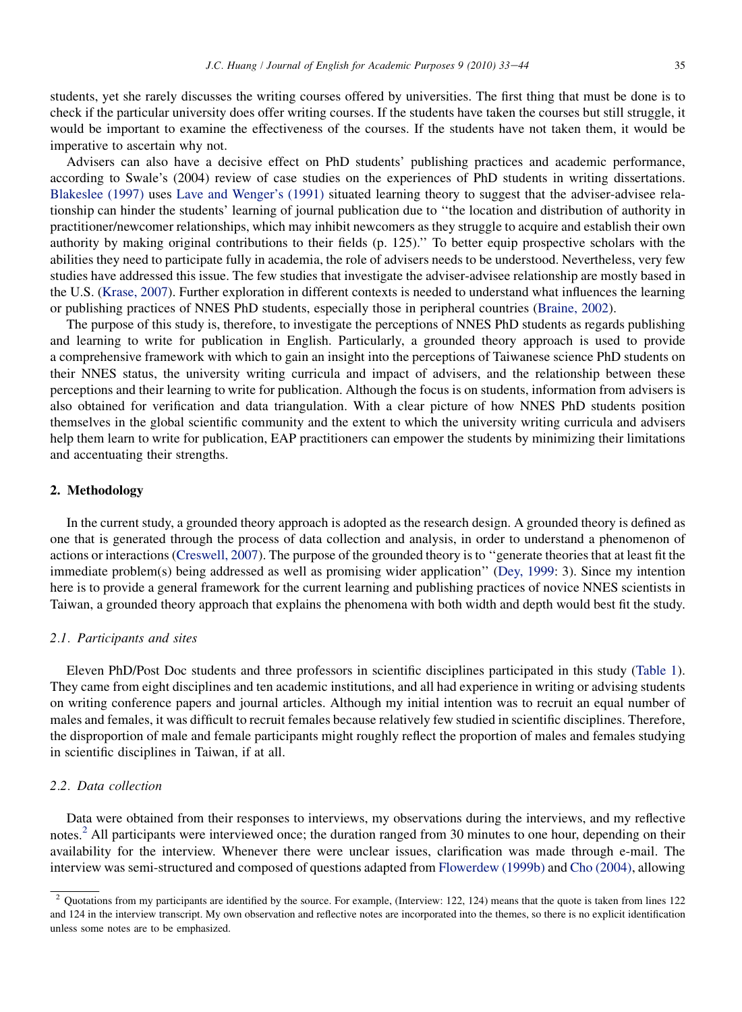students, yet she rarely discusses the writing courses offered by universities. The first thing that must be done is to check if the particular university does offer writing courses. If the students have taken the courses but still struggle, it would be important to examine the effectiveness of the courses. If the students have not taken them, it would be imperative to ascertain why not.

Advisers can also have a decisive effect on PhD students' publishing practices and academic performance, according to Swale's (2004) review of case studies on the experiences of PhD students in writing dissertations. [Blakeslee \(1997\)](#page-10-0) uses [Lave and Wenger's \(1991\)](#page-10-0) situated learning theory to suggest that the adviser-advisee relationship can hinder the students' learning of journal publication due to ''the location and distribution of authority in practitioner/newcomer relationships, which may inhibit newcomers as they struggle to acquire and establish their own authority by making original contributions to their fields (p. 125).'' To better equip prospective scholars with the abilities they need to participate fully in academia, the role of advisers needs to be understood. Nevertheless, very few studies have addressed this issue. The few studies that investigate the adviser-advisee relationship are mostly based in the U.S. [\(Krase, 2007](#page-10-0)). Further exploration in different contexts is needed to understand what influences the learning or publishing practices of NNES PhD students, especially those in peripheral countries ([Braine, 2002\)](#page-10-0).

The purpose of this study is, therefore, to investigate the perceptions of NNES PhD students as regards publishing and learning to write for publication in English. Particularly, a grounded theory approach is used to provide a comprehensive framework with which to gain an insight into the perceptions of Taiwanese science PhD students on their NNES status, the university writing curricula and impact of advisers, and the relationship between these perceptions and their learning to write for publication. Although the focus is on students, information from advisers is also obtained for verification and data triangulation. With a clear picture of how NNES PhD students position themselves in the global scientific community and the extent to which the university writing curricula and advisers help them learn to write for publication, EAP practitioners can empower the students by minimizing their limitations and accentuating their strengths.

# 2. Methodology

In the current study, a grounded theory approach is adopted as the research design. A grounded theory is defined as one that is generated through the process of data collection and analysis, in order to understand a phenomenon of actions or interactions ([Creswell, 2007\)](#page-10-0). The purpose of the grounded theory is to ''generate theories that at least fit the immediate problem(s) being addressed as well as promising wider application'' ([Dey, 1999:](#page-10-0) 3). Since my intention here is to provide a general framework for the current learning and publishing practices of novice NNES scientists in Taiwan, a grounded theory approach that explains the phenomena with both width and depth would best fit the study.

#### 2.1. Participants and sites

Eleven PhD/Post Doc students and three professors in scientific disciplines participated in this study ([Table 1](#page-3-0)). They came from eight disciplines and ten academic institutions, and all had experience in writing or advising students on writing conference papers and journal articles. Although my initial intention was to recruit an equal number of males and females, it was difficult to recruit females because relatively few studied in scientific disciplines. Therefore, the disproportion of male and female participants might roughly reflect the proportion of males and females studying in scientific disciplines in Taiwan, if at all.

# 2.2. Data collection

Data were obtained from their responses to interviews, my observations during the interviews, and my reflective notes.<sup>2</sup> All participants were interviewed once; the duration ranged from 30 minutes to one hour, depending on their availability for the interview. Whenever there were unclear issues, clarification was made through e-mail. The interview was semi-structured and composed of questions adapted from [Flowerdew \(1999b\)](#page-10-0) and [Cho \(2004\),](#page-10-0) allowing

<sup>&</sup>lt;sup>2</sup> Quotations from my participants are identified by the source. For example, (Interview: 122, 124) means that the quote is taken from lines 122 and 124 in the interview transcript. My own observation and reflective notes are incorporated into the themes, so there is no explicit identification unless some notes are to be emphasized.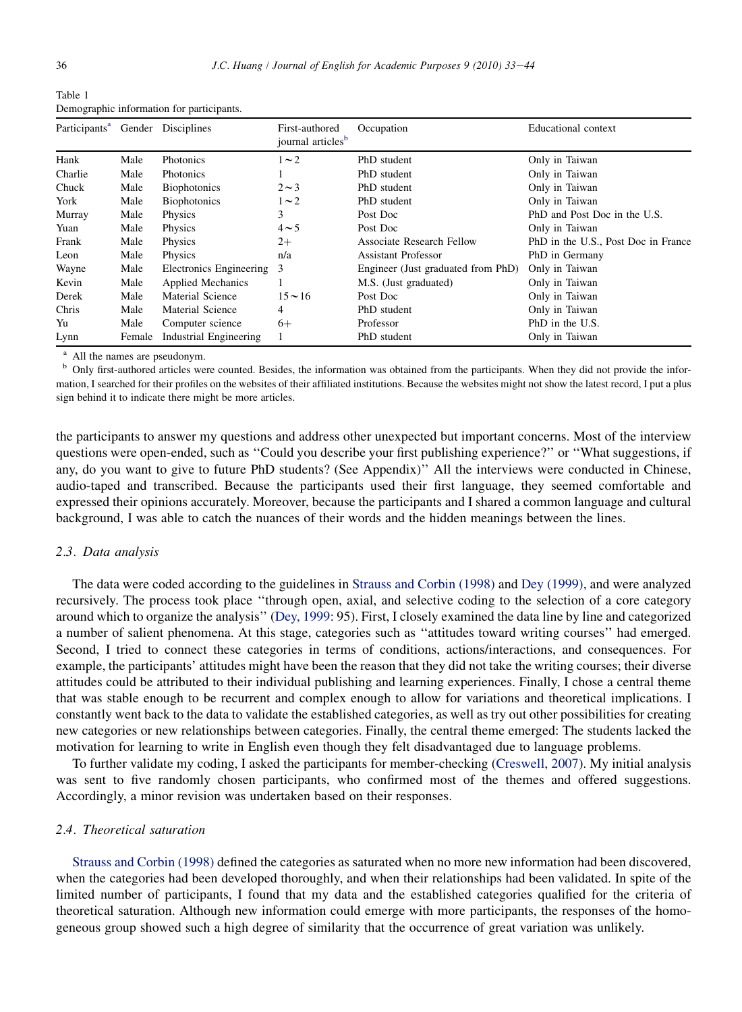| Participants <sup>a</sup> Gender |        | Disciplines              | First-authored<br>journal articles <sup>b</sup> | Occupation                         | <b>Educational</b> context          |
|----------------------------------|--------|--------------------------|-------------------------------------------------|------------------------------------|-------------------------------------|
| Hank                             | Male   | Photonics                | $1\sim2$                                        | PhD student                        | Only in Taiwan                      |
| Charlie                          | Male   | Photonics                |                                                 | PhD student                        | Only in Taiwan                      |
| Chuck                            | Male   | <b>Biophotonics</b>      | $2\sim3$                                        | PhD student                        | Only in Taiwan                      |
| York                             | Male   | <b>Biophotonics</b>      | $1\sim2$                                        | PhD student                        | Only in Taiwan                      |
| Murray                           | Male   | Physics                  | 3                                               | Post Doc                           | PhD and Post Doc in the U.S.        |
| Yuan                             | Male   | Physics                  | $4 \sim 5$                                      | Post Doc                           | Only in Taiwan                      |
| Frank                            | Male   | Physics                  | $2+$                                            | <b>Associate Research Fellow</b>   | PhD in the U.S., Post Doc in France |
| Leon                             | Male   | Physics                  | n/a                                             | <b>Assistant Professor</b>         | PhD in Germany                      |
| Wayne                            | Male   | Electronics Engineering  | 3                                               | Engineer (Just graduated from PhD) | Only in Taiwan                      |
| Kevin                            | Male   | <b>Applied Mechanics</b> |                                                 | M.S. (Just graduated)              | Only in Taiwan                      |
| Derek                            | Male   | Material Science         | $15 \sim 16$                                    | Post Doc                           | Only in Taiwan                      |
| Chris                            | Male   | <b>Material Science</b>  | 4                                               | PhD student                        | Only in Taiwan                      |
| Yu                               | Male   | Computer science         | $6+$                                            | Professor                          | PhD in the U.S.                     |
| Lynn                             | Female | Industrial Engineering   |                                                 | PhD student                        | Only in Taiwan                      |

<span id="page-3-0"></span>Table 1 Demographic information for participants.

<sup>a</sup> All the names are pseudonym.<br><sup>b</sup> Only first-authored articles were counted. Besides, the information was obtained from the participants. When they did not provide the information, I searched for their profiles on the websites of their affiliated institutions. Because the websites might not show the latest record, I put a plus sign behind it to indicate there might be more articles.

the participants to answer my questions and address other unexpected but important concerns. Most of the interview questions were open-ended, such as ''Could you describe your first publishing experience?'' or ''What suggestions, if any, do you want to give to future PhD students? (See Appendix)'' All the interviews were conducted in Chinese, audio-taped and transcribed. Because the participants used their first language, they seemed comfortable and expressed their opinions accurately. Moreover, because the participants and I shared a common language and cultural background, I was able to catch the nuances of their words and the hidden meanings between the lines.

## 2.3. Data analysis

The data were coded according to the guidelines in [Strauss and Corbin \(1998\)](#page-11-0) and [Dey \(1999\)](#page-10-0), and were analyzed recursively. The process took place ''through open, axial, and selective coding to the selection of a core category around which to organize the analysis'' ([Dey, 1999](#page-10-0): 95). First, I closely examined the data line by line and categorized a number of salient phenomena. At this stage, categories such as ''attitudes toward writing courses'' had emerged. Second, I tried to connect these categories in terms of conditions, actions/interactions, and consequences. For example, the participants' attitudes might have been the reason that they did not take the writing courses; their diverse attitudes could be attributed to their individual publishing and learning experiences. Finally, I chose a central theme that was stable enough to be recurrent and complex enough to allow for variations and theoretical implications. I constantly went back to the data to validate the established categories, as well as try out other possibilities for creating new categories or new relationships between categories. Finally, the central theme emerged: The students lacked the motivation for learning to write in English even though they felt disadvantaged due to language problems.

To further validate my coding, I asked the participants for member-checking [\(Creswell, 2007\)](#page-10-0). My initial analysis was sent to five randomly chosen participants, who confirmed most of the themes and offered suggestions. Accordingly, a minor revision was undertaken based on their responses.

# 2.4. Theoretical saturation

[Strauss and Corbin \(1998\)](#page-11-0) defined the categories as saturated when no more new information had been discovered, when the categories had been developed thoroughly, and when their relationships had been validated. In spite of the limited number of participants, I found that my data and the established categories qualified for the criteria of theoretical saturation. Although new information could emerge with more participants, the responses of the homogeneous group showed such a high degree of similarity that the occurrence of great variation was unlikely.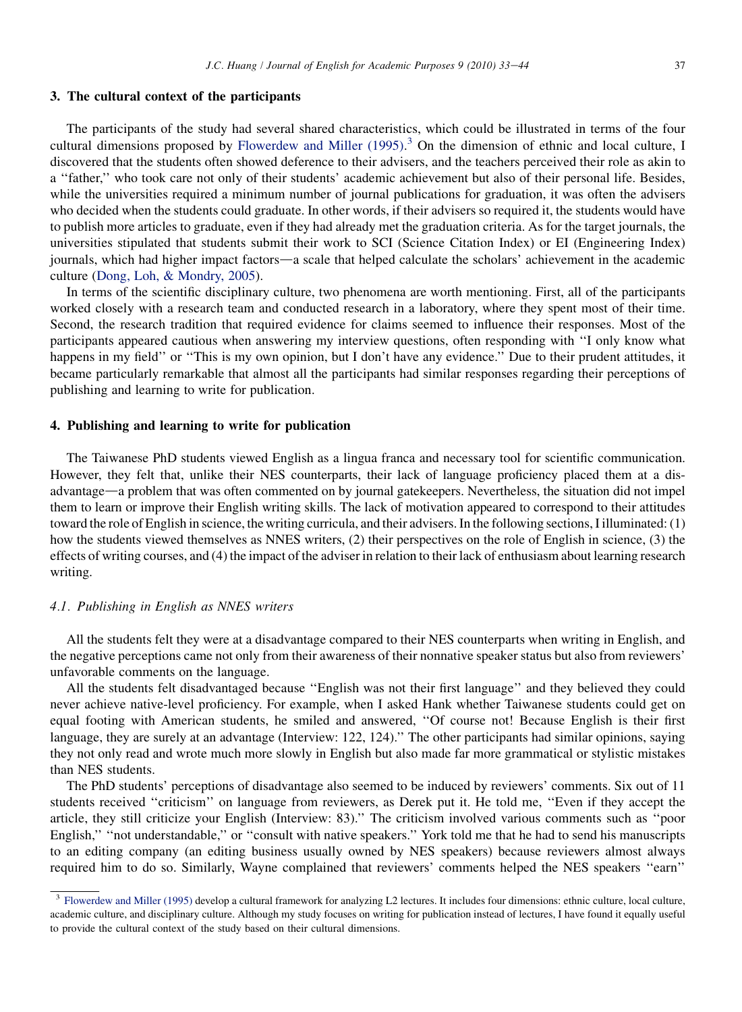#### 3. The cultural context of the participants

The participants of the study had several shared characteristics, which could be illustrated in terms of the four cultural dimensions proposed by [Flowerdew and Miller \(1995\).](#page-10-0)<sup>3</sup> On the dimension of ethnic and local culture, I discovered that the students often showed deference to their advisers, and the teachers perceived their role as akin to a ''father,'' who took care not only of their students' academic achievement but also of their personal life. Besides, while the universities required a minimum number of journal publications for graduation, it was often the advisers who decided when the students could graduate. In other words, if their advisers so required it, the students would have to publish more articles to graduate, even if they had already met the graduation criteria. As for the target journals, the universities stipulated that students submit their work to SCI (Science Citation Index) or EI (Engineering Index) journals, which had higher impact factors—a scale that helped calculate the scholars' achievement in the academic culture ([Dong, Loh, & Mondry, 2005](#page-10-0)).

In terms of the scientific disciplinary culture, two phenomena are worth mentioning. First, all of the participants worked closely with a research team and conducted research in a laboratory, where they spent most of their time. Second, the research tradition that required evidence for claims seemed to influence their responses. Most of the participants appeared cautious when answering my interview questions, often responding with ''I only know what happens in my field" or "This is my own opinion, but I don't have any evidence." Due to their prudent attitudes, it became particularly remarkable that almost all the participants had similar responses regarding their perceptions of publishing and learning to write for publication.

## 4. Publishing and learning to write for publication

The Taiwanese PhD students viewed English as a lingua franca and necessary tool for scientific communication. However, they felt that, unlike their NES counterparts, their lack of language proficiency placed them at a disadvantage—a problem that was often commented on by journal gatekeepers. Nevertheless, the situation did not impel them to learn or improve their English writing skills. The lack of motivation appeared to correspond to their attitudes toward the role of English in science, the writing curricula, and their advisers. In the following sections, I illuminated: (1) how the students viewed themselves as NNES writers, (2) their perspectives on the role of English in science, (3) the effects of writing courses, and (4) the impact of the adviser in relation to their lack of enthusiasm about learning research writing.

# 4.1. Publishing in English as NNES writers

All the students felt they were at a disadvantage compared to their NES counterparts when writing in English, and the negative perceptions came not only from their awareness of their nonnative speaker status but also from reviewers' unfavorable comments on the language.

All the students felt disadvantaged because ''English was not their first language'' and they believed they could never achieve native-level proficiency. For example, when I asked Hank whether Taiwanese students could get on equal footing with American students, he smiled and answered, ''Of course not! Because English is their first language, they are surely at an advantage (Interview: 122, 124).'' The other participants had similar opinions, saying they not only read and wrote much more slowly in English but also made far more grammatical or stylistic mistakes than NES students.

The PhD students' perceptions of disadvantage also seemed to be induced by reviewers' comments. Six out of 11 students received ''criticism'' on language from reviewers, as Derek put it. He told me, ''Even if they accept the article, they still criticize your English (Interview: 83).'' The criticism involved various comments such as ''poor English,'' ''not understandable,'' or ''consult with native speakers.'' York told me that he had to send his manuscripts to an editing company (an editing business usually owned by NES speakers) because reviewers almost always required him to do so. Similarly, Wayne complained that reviewers' comments helped the NES speakers ''earn''

<sup>&</sup>lt;sup>3</sup> [Flowerdew and Miller \(1995\)](#page-10-0) develop a cultural framework for analyzing L2 lectures. It includes four dimensions: ethnic culture, local culture, academic culture, and disciplinary culture. Although my study focuses on writing for publication instead of lectures, I have found it equally useful to provide the cultural context of the study based on their cultural dimensions.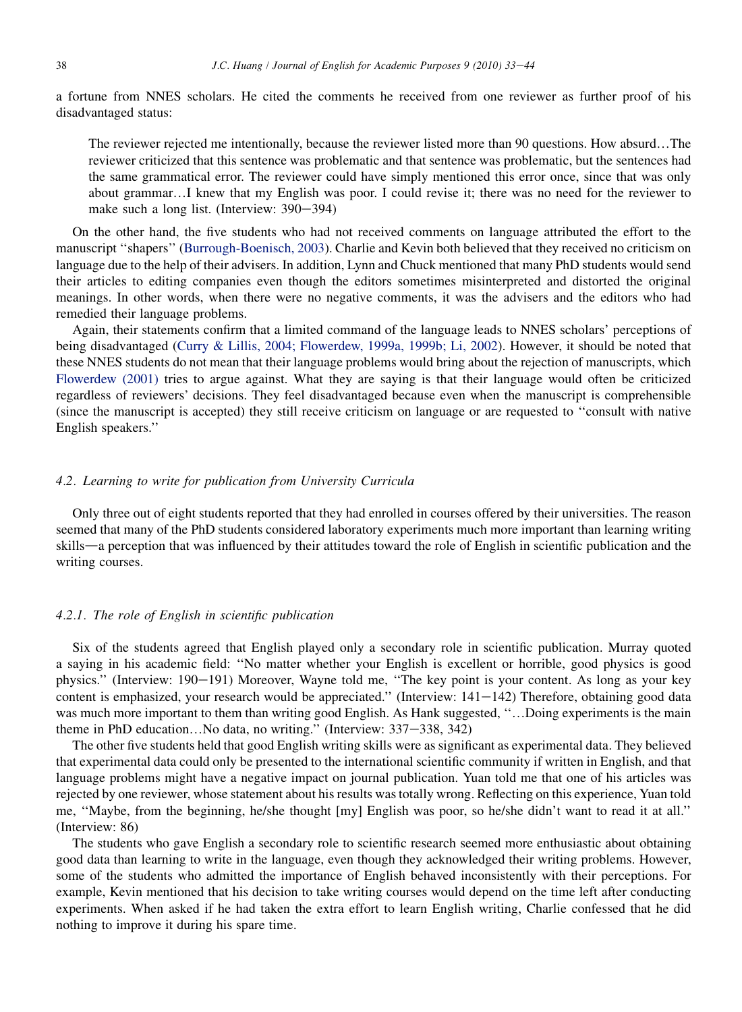a fortune from NNES scholars. He cited the comments he received from one reviewer as further proof of his disadvantaged status:

The reviewer rejected me intentionally, because the reviewer listed more than 90 questions. How absurd...The reviewer criticized that this sentence was problematic and that sentence was problematic, but the sentences had the same grammatical error. The reviewer could have simply mentioned this error once, since that was only about grammar...I knew that my English was poor. I could revise it; there was no need for the reviewer to make such a long list. (Interview:  $390-394$ )

On the other hand, the five students who had not received comments on language attributed the effort to the manuscript "shapers" ([Burrough-Boenisch, 2003](#page-10-0)). Charlie and Kevin both believed that they received no criticism on language due to the help of their advisers. In addition, Lynn and Chuck mentioned that many PhD students would send their articles to editing companies even though the editors sometimes misinterpreted and distorted the original meanings. In other words, when there were no negative comments, it was the advisers and the editors who had remedied their language problems.

Again, their statements confirm that a limited command of the language leads to NNES scholars' perceptions of being disadvantaged [\(Curry & Lillis, 2004; Flowerdew, 1999a, 1999b; Li, 2002](#page-10-0)). However, it should be noted that these NNES students do not mean that their language problems would bring about the rejection of manuscripts, which [Flowerdew \(2001\)](#page-10-0) tries to argue against. What they are saying is that their language would often be criticized regardless of reviewers' decisions. They feel disadvantaged because even when the manuscript is comprehensible (since the manuscript is accepted) they still receive criticism on language or are requested to ''consult with native English speakers.''

# 4.2. Learning to write for publication from University Curricula

Only three out of eight students reported that they had enrolled in courses offered by their universities. The reason seemed that many of the PhD students considered laboratory experiments much more important than learning writing skills—a perception that was influenced by their attitudes toward the role of English in scientific publication and the writing courses.

# 4.2.1. The role of English in scientific publication

Six of the students agreed that English played only a secondary role in scientific publication. Murray quoted a saying in his academic field: ''No matter whether your English is excellent or horrible, good physics is good physics." (Interview: 190-191) Moreover, Wayne told me, "The key point is your content. As long as your key content is emphasized, your research would be appreciated." (Interview:  $141-142$ ) Therefore, obtaining good data was much more important to them than writing good English. As Hank suggested, "...Doing experiments is the main theme in PhD education...No data, no writing." (Interview:  $337-338$ ,  $342$ )

The other five students held that good English writing skills were as significant as experimental data. They believed that experimental data could only be presented to the international scientific community if written in English, and that language problems might have a negative impact on journal publication. Yuan told me that one of his articles was rejected by one reviewer, whose statement about his results was totally wrong. Reflecting on this experience, Yuan told me, ''Maybe, from the beginning, he/she thought [my] English was poor, so he/she didn't want to read it at all.'' (Interview: 86)

The students who gave English a secondary role to scientific research seemed more enthusiastic about obtaining good data than learning to write in the language, even though they acknowledged their writing problems. However, some of the students who admitted the importance of English behaved inconsistently with their perceptions. For example, Kevin mentioned that his decision to take writing courses would depend on the time left after conducting experiments. When asked if he had taken the extra effort to learn English writing, Charlie confessed that he did nothing to improve it during his spare time.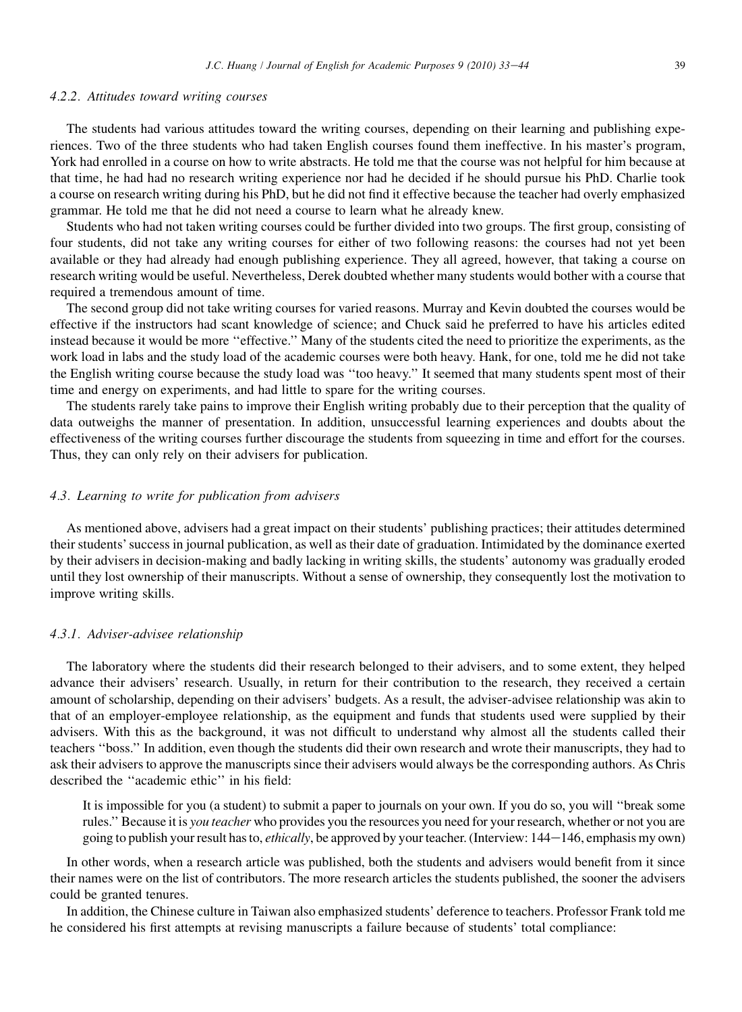#### 4.2.2. Attitudes toward writing courses

The students had various attitudes toward the writing courses, depending on their learning and publishing experiences. Two of the three students who had taken English courses found them ineffective. In his master's program, York had enrolled in a course on how to write abstracts. He told me that the course was not helpful for him because at that time, he had had no research writing experience nor had he decided if he should pursue his PhD. Charlie took a course on research writing during his PhD, but he did not find it effective because the teacher had overly emphasized grammar. He told me that he did not need a course to learn what he already knew.

Students who had not taken writing courses could be further divided into two groups. The first group, consisting of four students, did not take any writing courses for either of two following reasons: the courses had not yet been available or they had already had enough publishing experience. They all agreed, however, that taking a course on research writing would be useful. Nevertheless, Derek doubted whether many students would bother with a course that required a tremendous amount of time.

The second group did not take writing courses for varied reasons. Murray and Kevin doubted the courses would be effective if the instructors had scant knowledge of science; and Chuck said he preferred to have his articles edited instead because it would be more ''effective.'' Many of the students cited the need to prioritize the experiments, as the work load in labs and the study load of the academic courses were both heavy. Hank, for one, told me he did not take the English writing course because the study load was ''too heavy.'' It seemed that many students spent most of their time and energy on experiments, and had little to spare for the writing courses.

The students rarely take pains to improve their English writing probably due to their perception that the quality of data outweighs the manner of presentation. In addition, unsuccessful learning experiences and doubts about the effectiveness of the writing courses further discourage the students from squeezing in time and effort for the courses. Thus, they can only rely on their advisers for publication.

# 4.3. Learning to write for publication from advisers

As mentioned above, advisers had a great impact on their students' publishing practices; their attitudes determined their students' success in journal publication, as well as their date of graduation. Intimidated by the dominance exerted by their advisers in decision-making and badly lacking in writing skills, the students' autonomy was gradually eroded until they lost ownership of their manuscripts. Without a sense of ownership, they consequently lost the motivation to improve writing skills.

#### 4.3.1. Adviser-advisee relationship

The laboratory where the students did their research belonged to their advisers, and to some extent, they helped advance their advisers' research. Usually, in return for their contribution to the research, they received a certain amount of scholarship, depending on their advisers' budgets. As a result, the adviser-advisee relationship was akin to that of an employer-employee relationship, as the equipment and funds that students used were supplied by their advisers. With this as the background, it was not difficult to understand why almost all the students called their teachers ''boss.'' In addition, even though the students did their own research and wrote their manuscripts, they had to ask their advisers to approve the manuscripts since their advisers would always be the corresponding authors. As Chris described the ''academic ethic'' in his field:

It is impossible for you (a student) to submit a paper to journals on your own. If you do so, you will ''break some rules." Because it is you teacher who provides you the resources you need for your research, whether or not you are going to publish your result has to, *ethically*, be approved by your teacher. (Interview: 144–146, emphasis my own)

In other words, when a research article was published, both the students and advisers would benefit from it since their names were on the list of contributors. The more research articles the students published, the sooner the advisers could be granted tenures.

In addition, the Chinese culture in Taiwan also emphasized students' deference to teachers. Professor Frank told me he considered his first attempts at revising manuscripts a failure because of students' total compliance: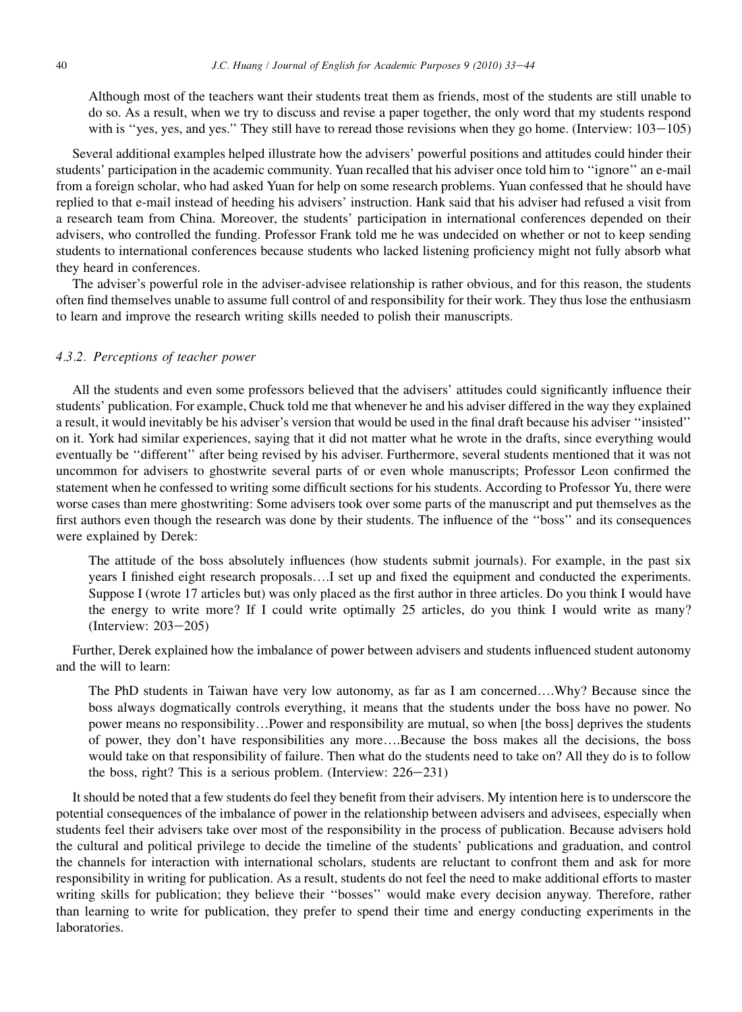Although most of the teachers want their students treat them as friends, most of the students are still unable to do so. As a result, when we try to discuss and revise a paper together, the only word that my students respond with is "yes, yes, and yes." They still have to reread those revisions when they go home. (Interview:  $103-105$ )

Several additional examples helped illustrate how the advisers' powerful positions and attitudes could hinder their students' participation in the academic community. Yuan recalled that his adviser once told him to ''ignore'' an e-mail from a foreign scholar, who had asked Yuan for help on some research problems. Yuan confessed that he should have replied to that e-mail instead of heeding his advisers' instruction. Hank said that his adviser had refused a visit from a research team from China. Moreover, the students' participation in international conferences depended on their advisers, who controlled the funding. Professor Frank told me he was undecided on whether or not to keep sending students to international conferences because students who lacked listening proficiency might not fully absorb what they heard in conferences.

The adviser's powerful role in the adviser-advisee relationship is rather obvious, and for this reason, the students often find themselves unable to assume full control of and responsibility for their work. They thus lose the enthusiasm to learn and improve the research writing skills needed to polish their manuscripts.

#### 4.3.2. Perceptions of teacher power

All the students and even some professors believed that the advisers' attitudes could significantly influence their students' publication. For example, Chuck told me that whenever he and his adviser differed in the way they explained a result, it would inevitably be his adviser's version that would be used in the final draft because his adviser ''insisted'' on it. York had similar experiences, saying that it did not matter what he wrote in the drafts, since everything would eventually be ''different'' after being revised by his adviser. Furthermore, several students mentioned that it was not uncommon for advisers to ghostwrite several parts of or even whole manuscripts; Professor Leon confirmed the statement when he confessed to writing some difficult sections for his students. According to Professor Yu, there were worse cases than mere ghostwriting: Some advisers took over some parts of the manuscript and put themselves as the first authors even though the research was done by their students. The influence of the ''boss'' and its consequences were explained by Derek:

The attitude of the boss absolutely influences (how students submit journals). For example, in the past six years I finished eight research proposals..I set up and fixed the equipment and conducted the experiments. Suppose I (wrote 17 articles but) was only placed as the first author in three articles. Do you think I would have the energy to write more? If I could write optimally 25 articles, do you think I would write as many? (Interview:  $203-205$ )

Further, Derek explained how the imbalance of power between advisers and students influenced student autonomy and the will to learn:

The PhD students in Taiwan have very low autonomy, as far as I am concerned...Why? Because since the boss always dogmatically controls everything, it means that the students under the boss have no power. No power means no responsibility...Power and responsibility are mutual, so when [the boss] deprives the students of power, they don't have responsibilities any more...Because the boss makes all the decisions, the boss would take on that responsibility of failure. Then what do the students need to take on? All they do is to follow the boss, right? This is a serious problem. (Interview:  $226-231$ )

It should be noted that a few students do feel they benefit from their advisers. My intention here is to underscore the potential consequences of the imbalance of power in the relationship between advisers and advisees, especially when students feel their advisers take over most of the responsibility in the process of publication. Because advisers hold the cultural and political privilege to decide the timeline of the students' publications and graduation, and control the channels for interaction with international scholars, students are reluctant to confront them and ask for more responsibility in writing for publication. As a result, students do not feel the need to make additional efforts to master writing skills for publication; they believe their ''bosses'' would make every decision anyway. Therefore, rather than learning to write for publication, they prefer to spend their time and energy conducting experiments in the laboratories.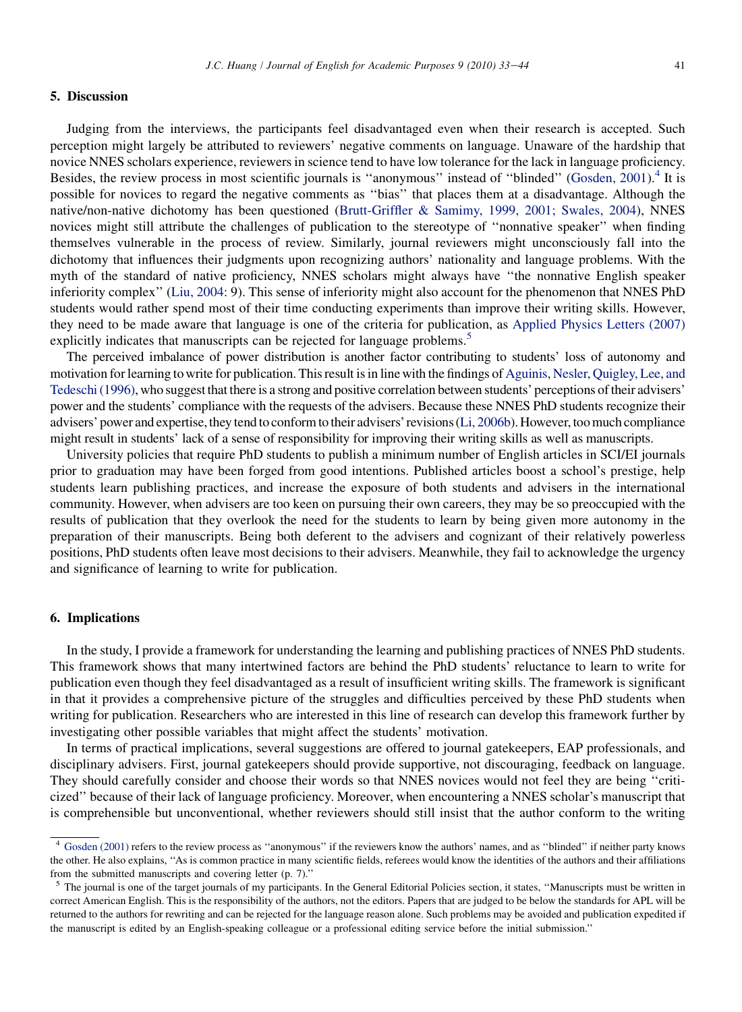# 5. Discussion

Judging from the interviews, the participants feel disadvantaged even when their research is accepted. Such perception might largely be attributed to reviewers' negative comments on language. Unaware of the hardship that novice NNES scholars experience, reviewers in science tend to have low tolerance for the lack in language proficiency. Besides, the review process in most scientific journals is "anonymous" instead of "blinded" [\(Gosden, 2001\)](#page-10-0).<sup>4</sup> It is possible for novices to regard the negative comments as ''bias'' that places them at a disadvantage. Although the native/non-native dichotomy has been questioned [\(Brutt-Griffler & Samimy, 1999, 2001; Swales, 2004](#page-10-0)), NNES novices might still attribute the challenges of publication to the stereotype of ''nonnative speaker'' when finding themselves vulnerable in the process of review. Similarly, journal reviewers might unconsciously fall into the dichotomy that influences their judgments upon recognizing authors' nationality and language problems. With the myth of the standard of native proficiency, NNES scholars might always have ''the nonnative English speaker inferiority complex'' ([Liu, 2004](#page-11-0): 9). This sense of inferiority might also account for the phenomenon that NNES PhD students would rather spend most of their time conducting experiments than improve their writing skills. However, they need to be made aware that language is one of the criteria for publication, as [Applied Physics Letters \(2007\)](#page-10-0) explicitly indicates that manuscripts can be rejected for language problems.<sup>5</sup>

The perceived imbalance of power distribution is another factor contributing to students' loss of autonomy and motivation for learning to write for publication. This result is in line with the findings of [Aguinis, Nesler, Quigley, Lee, and](#page-10-0) [Tedeschi \(1996\)](#page-10-0), who suggest that there is a strong and positive correlation between students' perceptions of their advisers' power and the students' compliance with the requests of the advisers. Because these NNES PhD students recognize their advisers' power and expertise, they tend to conform to their advisers' revisions ([Li, 2006b\)](#page-11-0). However, too much compliance might result in students' lack of a sense of responsibility for improving their writing skills as well as manuscripts.

University policies that require PhD students to publish a minimum number of English articles in SCI/EI journals prior to graduation may have been forged from good intentions. Published articles boost a school's prestige, help students learn publishing practices, and increase the exposure of both students and advisers in the international community. However, when advisers are too keen on pursuing their own careers, they may be so preoccupied with the results of publication that they overlook the need for the students to learn by being given more autonomy in the preparation of their manuscripts. Being both deferent to the advisers and cognizant of their relatively powerless positions, PhD students often leave most decisions to their advisers. Meanwhile, they fail to acknowledge the urgency and significance of learning to write for publication.

## 6. Implications

In the study, I provide a framework for understanding the learning and publishing practices of NNES PhD students. This framework shows that many intertwined factors are behind the PhD students' reluctance to learn to write for publication even though they feel disadvantaged as a result of insufficient writing skills. The framework is significant in that it provides a comprehensive picture of the struggles and difficulties perceived by these PhD students when writing for publication. Researchers who are interested in this line of research can develop this framework further by investigating other possible variables that might affect the students' motivation.

In terms of practical implications, several suggestions are offered to journal gatekeepers, EAP professionals, and disciplinary advisers. First, journal gatekeepers should provide supportive, not discouraging, feedback on language. They should carefully consider and choose their words so that NNES novices would not feel they are being ''criticized'' because of their lack of language proficiency. Moreover, when encountering a NNES scholar's manuscript that is comprehensible but unconventional, whether reviewers should still insist that the author conform to the writing

<sup>4</sup> [Gosden \(2001\)](#page-10-0) refers to the review process as ''anonymous'' if the reviewers know the authors' names, and as ''blinded'' if neither party knows the other. He also explains, ''As is common practice in many scientific fields, referees would know the identities of the authors and their affiliations from the submitted manuscripts and covering letter (p. 7).''

 $<sup>5</sup>$  The journal is one of the target journals of my participants. In the General Editorial Policies section, it states, "Manuscripts must be written in</sup> correct American English. This is the responsibility of the authors, not the editors. Papers that are judged to be below the standards for APL will be returned to the authors for rewriting and can be rejected for the language reason alone. Such problems may be avoided and publication expedited if the manuscript is edited by an English-speaking colleague or a professional editing service before the initial submission.''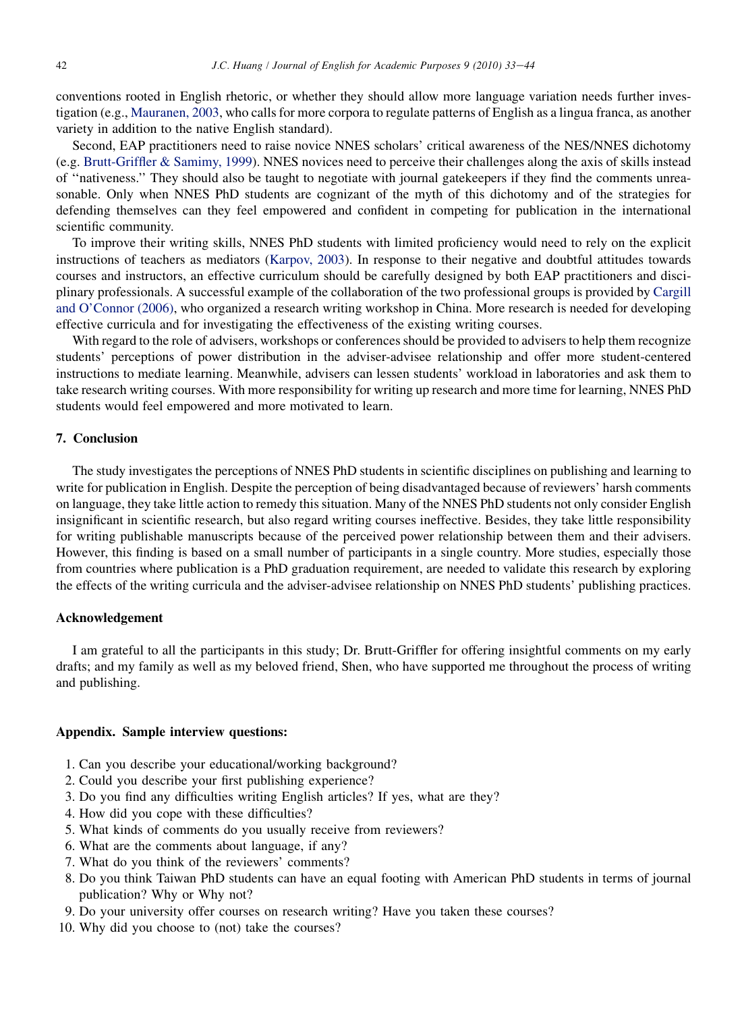conventions rooted in English rhetoric, or whether they should allow more language variation needs further investigation (e.g., [Mauranen, 2003,](#page-11-0) who calls for more corpora to regulate patterns of English as a lingua franca, as another variety in addition to the native English standard).

Second, EAP practitioners need to raise novice NNES scholars' critical awareness of the NES/NNES dichotomy (e.g. [Brutt-Griffler & Samimy, 1999](#page-10-0)). NNES novices need to perceive their challenges along the axis of skills instead of ''nativeness.'' They should also be taught to negotiate with journal gatekeepers if they find the comments unreasonable. Only when NNES PhD students are cognizant of the myth of this dichotomy and of the strategies for defending themselves can they feel empowered and confident in competing for publication in the international scientific community.

To improve their writing skills, NNES PhD students with limited proficiency would need to rely on the explicit instructions of teachers as mediators ([Karpov, 2003](#page-10-0)). In response to their negative and doubtful attitudes towards courses and instructors, an effective curriculum should be carefully designed by both EAP practitioners and disciplinary professionals. A successful example of the collaboration of the two professional groups is provided by [Cargill](#page-10-0) [and O'Connor \(2006\),](#page-10-0) who organized a research writing workshop in China. More research is needed for developing effective curricula and for investigating the effectiveness of the existing writing courses.

With regard to the role of advisers, workshops or conferences should be provided to advisers to help them recognize students' perceptions of power distribution in the adviser-advisee relationship and offer more student-centered instructions to mediate learning. Meanwhile, advisers can lessen students' workload in laboratories and ask them to take research writing courses. With more responsibility for writing up research and more time for learning, NNES PhD students would feel empowered and more motivated to learn.

# 7. Conclusion

The study investigates the perceptions of NNES PhD students in scientific disciplines on publishing and learning to write for publication in English. Despite the perception of being disadvantaged because of reviewers' harsh comments on language, they take little action to remedy this situation. Many of the NNES PhD students not only consider English insignificant in scientific research, but also regard writing courses ineffective. Besides, they take little responsibility for writing publishable manuscripts because of the perceived power relationship between them and their advisers. However, this finding is based on a small number of participants in a single country. More studies, especially those from countries where publication is a PhD graduation requirement, are needed to validate this research by exploring the effects of the writing curricula and the adviser-advisee relationship on NNES PhD students' publishing practices.

## Acknowledgement

I am grateful to all the participants in this study; Dr. Brutt-Griffler for offering insightful comments on my early drafts; and my family as well as my beloved friend, Shen, who have supported me throughout the process of writing and publishing.

## Appendix. Sample interview questions:

- 1. Can you describe your educational/working background?
- 2. Could you describe your first publishing experience?
- 3. Do you find any difficulties writing English articles? If yes, what are they?
- 4. How did you cope with these difficulties?
- 5. What kinds of comments do you usually receive from reviewers?
- 6. What are the comments about language, if any?
- 7. What do you think of the reviewers' comments?
- 8. Do you think Taiwan PhD students can have an equal footing with American PhD students in terms of journal publication? Why or Why not?
- 9. Do your university offer courses on research writing? Have you taken these courses?
- 10. Why did you choose to (not) take the courses?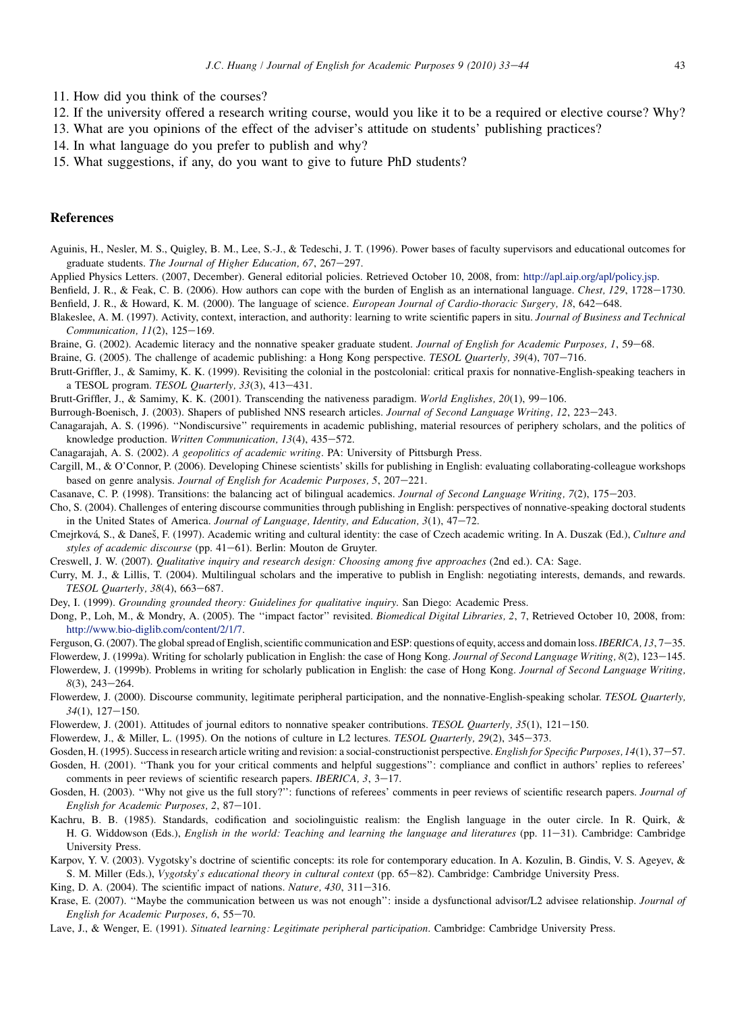- <span id="page-10-0"></span>11. How did you think of the courses?
- 12. If the university offered a research writing course, would you like it to be a required or elective course? Why?
- 13. What are you opinions of the effect of the adviser's attitude on students' publishing practices?
- 14. In what language do you prefer to publish and why?
- 15. What suggestions, if any, do you want to give to future PhD students?

## References

- Aguinis, H., Nesler, M. S., Quigley, B. M., Lee, S.-J., & Tedeschi, J. T. (1996). Power bases of faculty supervisors and educational outcomes for graduate students. The Journal of Higher Education,  $67$ ,  $267-297$ .
- Applied Physics Letters. (2007, December). General editorial policies. Retrieved October 10, 2008, from: <http://apl.aip.org/apl/policy.jsp>.
- Benfield, J. R., & Feak, C. B. (2006). How authors can cope with the burden of English as an international language. Chest, 129, 1728–1730. Benfield, J. R., & Howard, K. M. (2000). The language of science. European Journal of Cardio-thoracic Surgery, 18, 642–648.
- Blakeslee, A. M. (1997). Activity, context, interaction, and authority: learning to write scientific papers in situ. Journal of Business and Technical Communication,  $11(2)$ ,  $125-169$ .
- Braine, G. (2002). Academic literacy and the nonnative speaker graduate student. Journal of English for Academic Purposes, 1, 59–68.

Braine, G. (2005). The challenge of academic publishing: a Hong Kong perspective. TESOL Quarterly,  $39(4)$ ,  $707-716$ .

- Brutt-Griffler, J., & Samimy, K. K. (1999). Revisiting the colonial in the postcolonial: critical praxis for nonnative-English-speaking teachers in a TESOL program. TESOL Quarterly, 33(3), 413-431.
- Brutt-Griffler, J., & Samimy, K. K. (2001). Transcending the nativeness paradigm. World Englishes, 20(1), 99-106.
- Burrough-Boenisch, J. (2003). Shapers of published NNS research articles. Journal of Second Language Writing, 12, 223-243.
- Canagarajah, A. S. (1996). ''Nondiscursive'' requirements in academic publishing, material resources of periphery scholars, and the politics of knowledge production. Written Communication, 13(4), 435-572.
- Canagarajah, A. S. (2002). A geopolitics of academic writing. PA: University of Pittsburgh Press.
- Cargill, M., & O'Connor, P. (2006). Developing Chinese scientists' skills for publishing in English: evaluating collaborating-colleague workshops based on genre analysis. Journal of English for Academic Purposes, 5, 207-221.
- Casanave, C. P. (1998). Transitions: the balancing act of bilingual academics. Journal of Second Language Writing, 7(2), 175-203.
- Cho, S. (2004). Challenges of entering discourse communities through publishing in English: perspectives of nonnative-speaking doctoral students in the United States of America. Journal of Language, Identity, and Education,  $3(1)$ ,  $47-72$ .
- Cmejrková, S., & Daneš, F. (1997). Academic writing and cultural identity: the case of Czech academic writing. In A. Duszak (Ed.), Culture ana styles of academic discourse (pp. 41-61). Berlin: Mouton de Gruyter.

Creswell, J. W. (2007). Qualitative inquiry and research design: Choosing among five approaches (2nd ed.). CA: Sage.

Curry, M. J., & Lillis, T. (2004). Multilingual scholars and the imperative to publish in English: negotiating interests, demands, and rewards. TESOL Quarterly,  $38(4)$ ,  $663-687$ .

Dey, I. (1999). Grounding grounded theory: Guidelines for qualitative inquiry. San Diego: Academic Press.

- Dong, P., Loh, M., & Mondry, A. (2005). The "impact factor" revisited. Biomedical Digital Libraries, 2, 7, Retrieved October 10, 2008, from: [http://www.bio-diglib.com/content/2/1/7.](http://www.bio-diglib.com/content/2/1/7)
- Ferguson, G. (2007). The global spread of English, scientific communication and ESP: questions of equity, access and domain loss. IBERICA, 13, 7–35.
- Flowerdew, J. (1999a). Writing for scholarly publication in English: the case of Hong Kong. Journal of Second Language Writing, 8(2), 123–145.
- Flowerdew, J. (1999b). Problems in writing for scholarly publication in English: the case of Hong Kong. Journal of Second Language Writing,  $8(3)$ ,  $243-264$ .
- Flowerdew, J. (2000). Discourse community, legitimate peripheral participation, and the nonnative-English-speaking scholar. TESOL Quarterly,  $34(1)$ ,  $127-150$ .
- Flowerdew, J. (2001). Attitudes of journal editors to nonnative speaker contributions. TESOL Quarterly, 35(1), 121-150.
- Flowerdew, J., & Miller, L. (1995). On the notions of culture in L2 lectures. TESOL Quarterly, 29(2), 345–373.
- Gosden, H. (1995). Success in research article writing and revision: a social-constructionist perspective. English for Specific Purposes, 14(1), 37–57. Gosden, H. (2001). ''Thank you for your critical comments and helpful suggestions'': compliance and conflict in authors' replies to referees' comments in peer reviews of scientific research papers. IBERICA,  $3$ ,  $3-17$ .
- Gosden, H. (2003). "Why not give us the full story?": functions of referees' comments in peer reviews of scientific research papers. Journal of English for Academic Purposes,  $2$ ,  $87-101$ .
- Kachru, B. B. (1985). Standards, codification and sociolinguistic realism: the English language in the outer circle. In R. Quirk, & H. G. Widdowson (Eds.), *English in the world: Teaching and learning the language and literatures* (pp.  $11-31$ ). Cambridge: Cambridge University Press.
- Karpov, Y. V. (2003). Vygotsky's doctrine of scientific concepts: its role for contemporary education. In A. Kozulin, B. Gindis, V. S. Ageyev, & S. M. Miller (Eds.), Vygotsky's educational theory in cultural context (pp. 65-82). Cambridge: Cambridge University Press.
- King, D. A. (2004). The scientific impact of nations. Nature,  $430$ ,  $311-316$ .
- Krase, E. (2007). "Maybe the communication between us was not enough": inside a dysfunctional advisor/L2 advisee relationship. Journal of English for Academic Purposes, 6, 55-70.
- Lave, J., & Wenger, E. (1991). Situated learning: Legitimate peripheral participation. Cambridge: Cambridge University Press.